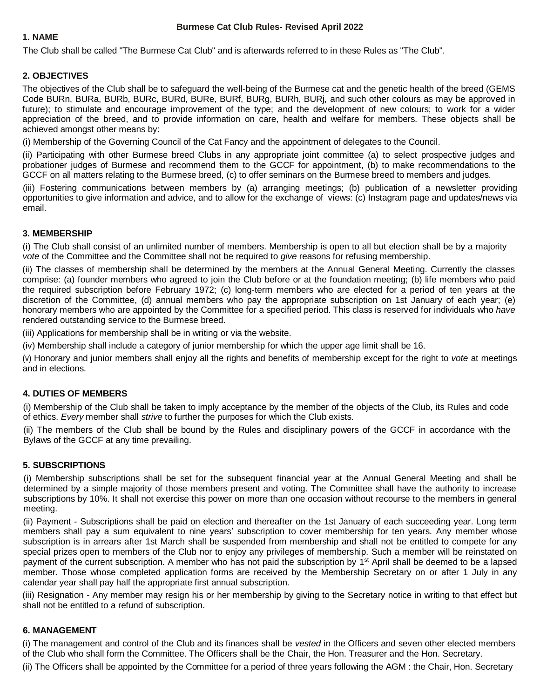### **1. NAME**

The Club shall be called "The Burmese Cat Club" and is afterwards referred to in these Rules as "The Club".

### **2. OBJECTIVES**

The objectives of the Club shall be to safeguard the well-being of the Burmese cat and the genetic health of the breed (GEMS Code BURn, BURa, BURb, BURc, BURd, BURe, BURf, BURg, BURh, BURj, and such other colours as may be approved in future); to stimulate and encourage improvement of the type; and the development of new colours; to work for a wider appreciation of the breed, and to provide information on care, health and welfare for members. These objects shall be achieved amongst other means by:

(i) Membership of the Governing Council of the Cat Fancy and the appointment of delegates to the Council.

(ii) Participating with other Burmese breed Clubs in any appropriate joint committee (a) to select prospective judges and probationer judges of Burmese and recommend them to the GCCF for appointment, (b) to make recommendations to the GCCF on all matters relating to the Burmese breed, (c) to offer seminars on the Burmese breed to members and judges.

(iii) Fostering communications between members by (a) arranging meetings; (b) publication of a newsletter providing opportunities to give information and advice, and to allow for the exchange of views: (c) Instagram page and updates/news via email.

### **3. MEMBERSHIP**

(i) The Club shall consist of an unlimited number of members. Membership is open to all but election shall be by a majority *vote* of the Committee and the Committee shall not be required to *give* reasons for refusing membership.

(ii) The classes of membership shall be determined by the members at the Annual General Meeting. Currently the classes comprise: (a) founder members who agreed to join the Club before or at the foundation meeting; (b) life members who paid the required subscription before February 1972; (c) long-term members who are elected for a period of ten years at the discretion of the Committee, (d) annual members who pay the appropriate subscription on 1st January of each year; (e) honorary members who are appointed by the Committee for a specified period. This class is reserved for individuals who *have*  rendered outstanding service to the Burmese breed.

(iii) Applications for membership shall be in writing or via the website.

(iv) Membership shall include a category of junior membership for which the upper age limit shall be 16.

(v) Honorary and junior members shall enjoy all the rights and benefits of membership except for the right to *vote* at meetings and in elections.

### **4. DUTIES OF MEMBERS**

(i) Membership of the Club shall be taken to imply acceptance by the member of the objects of the Club, its Rules and code of ethics. *Every* member shall *strive* to further the purposes for which the Club exists.

(ii) The members of the Club shall be bound by the Rules and disciplinary powers of the GCCF in accordance with the Bylaws of the GCCF at any time prevailing.

### **5. SUBSCRIPTIONS**

(i) Membership subscriptions shall be set for the subsequent financial year at the Annual General Meeting and shall be determined by a simple majority of those members present and voting. The Committee shall have the authority to increase subscriptions by 10%. It shall not exercise this power on more than one occasion without recourse to the members in general meeting.

(ii) Payment - Subscriptions shall be paid on election and thereafter on the 1st January of each succeeding year. Long term members shall pay a sum equivalent to nine years' subscription to cover membership for ten years. Any member whose subscription is in arrears after 1st March shall be suspended from membership and shall not be entitled to compete for any special prizes open to members of the Club nor to enjoy any privileges of membership. Such a member will be reinstated on payment of the current subscription. A member who has not paid the subscription by 1<sup>st</sup> April shall be deemed to be a lapsed member. Those whose completed application forms are received by the Membership Secretary on or after 1 July in any calendar year shall pay half the appropriate first annual subscription.

(iii) Resignation - Any member may resign his or her membership by giving to the Secretary notice in writing to that effect but shall not be entitled to a refund of subscription.

### **6. MANAGEMENT**

(i) The management and control of the Club and its finances shall be *vested* in the Officers and seven other elected members of the Club who shall form the Committee. The Officers shall be the Chair, the Hon. Treasurer and the Hon. Secretary.

(ii) The Officers shall be appointed by the Committee for a period of three years following the AGM : the Chair, Hon. Secretary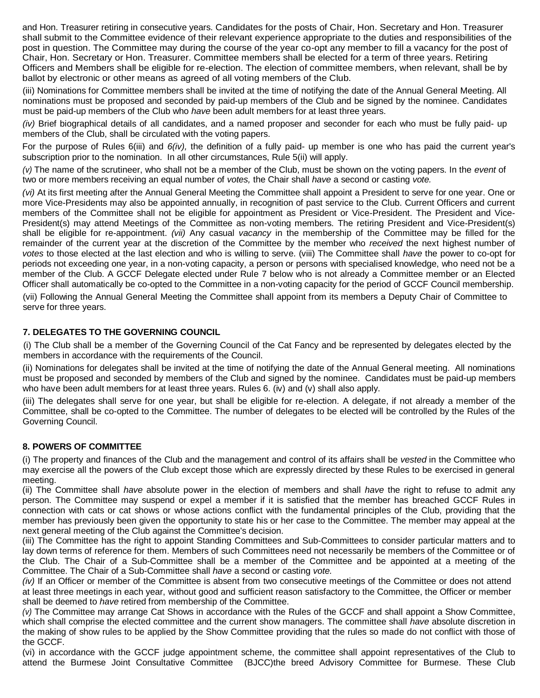and Hon. Treasurer retiring in consecutive years. Candidates for the posts of Chair, Hon. Secretary and Hon. Treasurer shall submit to the Committee evidence of their relevant experience appropriate to the duties and responsibilities of the post in question. The Committee may during the course of the year co-opt any member to fill a vacancy for the post of Chair, Hon. Secretary or Hon. Treasurer. Committee members shall be elected for a term of three years. Retiring Officers and Members shall be eligible for re-election. The election of committee members, when relevant, shall be by ballot by electronic or other means as agreed of all voting members of the Club.

(iii) Nominations for Committee members shall be invited at the time of notifying the date of the Annual General Meeting. All nominations must be proposed and seconded by paid-up members of the Club and be signed by the nominee. Candidates must be paid-up members of the Club who *have* been adult members for at least three years.

*(iv)* Brief biographical details of all candidates, and a named proposer and seconder for each who must be fully paid- up members of the Club, shall be circulated with the voting papers.

For the purpose of Rules 6(iii) and *6(iv),* the definition of a fully paid- up member is one who has paid the current year's subscription prior to the nomination. In all other circumstances, Rule 5(ii) will apply.

*(v)* The name of the scrutineer, who shall not be a member of the Club, must be shown on the voting papers. In the *event* of two or more members receiving an equal number of *votes,* the Chair shall *have* a second or casting *vote.* 

*(vi)* At its first meeting after the Annual General Meeting the Committee shall appoint a President to serve for one year. One or more Vice-Presidents may also be appointed annually, in recognition of past service to the Club. Current Officers and current members of the Committee shall not be eligible for appointment as President or Vice-President. The President and Vice-President(s) may attend Meetings of the Committee as non-voting members. The retiring President and Vice-President(s) shall be eligible for re-appointment. *(vii)* Any casual *vacancy* in the membership of the Committee may be filled for the remainder of the current year at the discretion of the Committee by the member who *received* the next highest number of *votes* to those elected at the last election and who is willing to serve. (viii) The Committee shall *have* the power to co-opt for periods not exceeding one year, in a non-voting capacity, a person or persons with specialised knowledge, who need not be a member of the Club. A GCCF Delegate elected under Rule 7 below who is not already a Committee member or an Elected Officer shall automatically be co-opted to the Committee in a non-voting capacity for the period of GCCF Council membership.

(vii) Following the Annual General Meeting the Committee shall appoint from its members a Deputy Chair of Committee to serve for three years.

## **7. DELEGATES TO THE GOVERNING COUNCIL**

(i) The Club shall be a member of the Governing Council of the Cat Fancy and be represented by delegates elected by the members in accordance with the requirements of the Council.

(ii) Nominations for delegates shall be invited at the time of notifying the date of the Annual General meeting. All nominations must be proposed and seconded by members of the Club and signed by the nominee. Candidates must be paid-up members who have been adult members for at least three years. Rules 6. (iv) and (v) shall also apply.

(iii) The delegates shall serve for one year, but shall be eligible for re-election. A delegate, if not already a member of the Committee, shall be co-opted to the Committee. The number of delegates to be elected will be controlled by the Rules of the Governing Council.

#### **8. POWERS OF COMMITTEE**

(i) The property and finances of the Club and the management and control of its affairs shall be *vested* in the Committee who may exercise all the powers of the Club except those which are expressly directed by these Rules to be exercised in general meeting.

(ii) The Committee shall *have* absolute power in the election of members and shall *have* the right to refuse to admit any person. The Committee may suspend or expel a member if it is satisfied that the member has breached GCCF Rules in connection with cats or cat shows or whose actions conflict with the fundamental principles of the Club, providing that the member has previously been given the opportunity to state his or her case to the Committee. The member may appeal at the next general meeting of the Club against the Committee's decision.

(iii) The Committee has the right to appoint Standing Committees and Sub-Committees to consider particular matters and to lay down terms of reference for them. Members of such Committees need not necessarily be members of the Committee or of the Club. The Chair of a Sub-Committee shall be a member of the Committee and be appointed at a meeting of the Committee. The Chair of a Sub-Committee shall *have* a second or casting *vote.* 

*(iv)* If an Officer or member of the Committee is absent from two consecutive meetings of the Committee or does not attend at least three meetings in each year, without good and sufficient reason satisfactory to the Committee, the Officer or member shall be deemed to *have* retired from membership of the Committee.

*(v)* The Committee may arrange Cat Shows in accordance with the Rules of the GCCF and shall appoint a Show Committee, which shall comprise the elected committee and the current show managers. The committee shall *have* absolute discretion in the making of show rules to be applied by the Show Committee providing that the rules so made do not conflict with those of the GCCF.

(vi) in accordance with the GCCF judge appointment scheme, the committee shall appoint representatives of the Club to attend the Burmese Joint Consultative Committee (BJCC)the breed Advisory Committee for Burmese. These Club